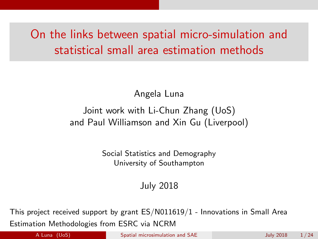# <span id="page-0-0"></span>On the links between spatial micro-simulation and statistical small area estimation methods

Angela Luna

#### Joint work with Li-Chun Zhang (UoS) and Paul Williamson and Xin Gu (Liverpool)

Social Statistics and Demography University of Southampton

July 2018

This project received support by grant ES/N011619/1 - Innovations in Small Area Estimation Methodologies from ESRC via NCRM

A Luna (UoS) [Spatial microsimulation and SAE](#page-23-0) July 2018 1/24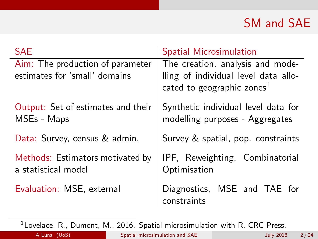# SM and SAE

| <b>SAE</b>                                                        | <b>Spatial Microsimulation</b>                                           |  |  |  |  |
|-------------------------------------------------------------------|--------------------------------------------------------------------------|--|--|--|--|
| Aim: The production of parameter<br>estimates for 'small' domains | The creation, analysis and mode-<br>lling of individual level data allo- |  |  |  |  |
|                                                                   | cated to geographic zones <sup>1</sup>                                   |  |  |  |  |
| Output: Set of estimates and their<br>MSEs - Maps                 | Synthetic individual level data for<br>modelling purposes - Aggregates   |  |  |  |  |
| Data: Survey, census & admin.                                     | Survey & spatial, pop. constraints                                       |  |  |  |  |
| Methods: Estimators motivated by<br>a statistical model           | IPF, Reweighting, Combinatorial<br>Optimisation                          |  |  |  |  |
| Evaluation: MSE, external                                         | Diagnostics, MSE and TAE for<br>constraints                              |  |  |  |  |

 $^1$ Lovelace, R., Dumont, M., 2016. Spatial microsimulation with R. CRC Press.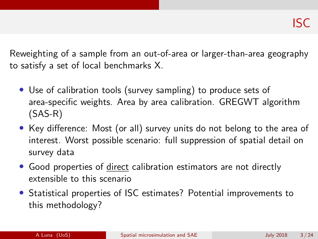Reweighting of a sample from an out-of-area or larger-than-area geography to satisfy a set of local benchmarks X.

- Use of calibration tools (survey sampling) to produce sets of area-specific weights. Area by area calibration. GREGWT algorithm (SAS-R)
- Key difference: Most (or all) survey units do not belong to the area of interest. Worst possible scenario: full suppression of spatial detail on survey data
- Good properties of direct calibration estimators are not directly extensible to this scenario
- Statistical properties of ISC estimates? Potential improvements to this methodology?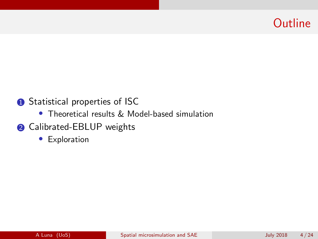# **Outline**

#### **1** Statistical properties of ISC

- Theoretical results & Model-based simulation
- **2** Calibrated-EBLUP weights
	- Exploration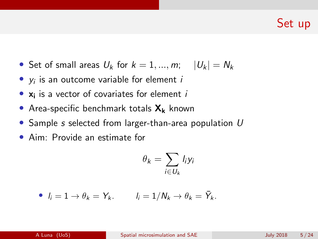# Set up

- Set of small areas  $U_k$  for  $k = 1, ..., m; \quad |U_k| = N_k$
- $y_i$  is an outcome variable for element  $i$
- $\bullet$   $\mathbf{x}_i$  is a vector of covariates for element is
- Area-specific benchmark totals  $X_k$  known
- Sample s selected from larger-than-area population U
- Aim: Provide an estimate for

$$
\theta_k = \sum_{i \in U_k} l_i y_i
$$

• 
$$
l_i = 1 \rightarrow \theta_k = Y_k
$$
.  $l_i = 1/N_k \rightarrow \theta_k = \overline{Y}_k$ .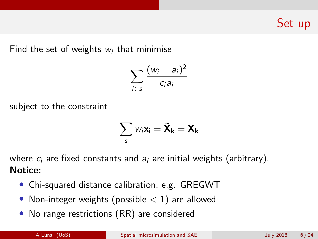Set up

Find the set of weights  $w_i$  that minimise

$$
\sum_{i\in s}\frac{(w_i-a_i)^2}{c_ia_i}
$$

subject to the constraint

$$
\sum_{s} w_i \mathbf{x_i} = \tilde{\mathbf{X}}_{k} = \mathbf{X}_{k}
$$

where  $c_i$  are fixed constants and  $a_i$  are initial weights (arbitrary). Notice:

- Chi-squared distance calibration, e.g. GREGWT
- Non-integer weights (possible  $< 1$ ) are allowed
- No range restrictions (RR) are considered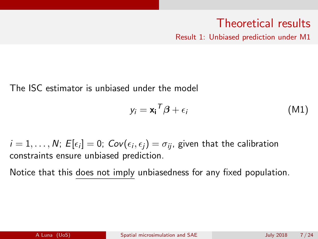# Theoretical results

Result 1: Unbiased prediction under M1

The ISC estimator is unbiased under the model

$$
y_i = \mathbf{x_i}^T \boldsymbol{\beta} + \epsilon_i \tag{M1}
$$

 $i=1,\ldots,N; \ E[\epsilon_i]=0; \ {{\mathit{Cov}}(\epsilon_i,\epsilon_j)=\sigma_{ij}},$  given that the calibration constraints ensure unbiased prediction.

Notice that this does not imply unbiasedness for any fixed population.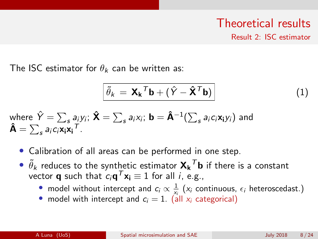#### Theoretical results Result 2: ISC estimator

The ISC estimator for  $\theta_k$  can be written as:

<span id="page-7-0"></span>
$$
\tilde{\theta}_k = \mathbf{X_k}^T \mathbf{b} + (\hat{Y} - \hat{\mathbf{X}}^T \mathbf{b})
$$
 (1)

where 
$$
\hat{Y} = \sum_s a_i y_i
$$
;  $\hat{\mathbf{X}} = \sum_s a_i x_i$ ;  $\mathbf{b} = \hat{\mathbf{A}}^{-1} (\sum_s a_i c_i \mathbf{x_i} y_i)$  and  $\hat{\mathbf{A}} = \sum_s a_i c_i \mathbf{x_i} \mathbf{x_i}^T$ .

- Calibration of all areas can be performed in one step.
- $\bullet$   $\tilde{\theta}_k$  reduces to the synthetic estimator  $\mathbf{X_k}^T \mathbf{b}$  if there is a constant vector **q** such that  $c_i\mathbf{q}^T\mathbf{x_i}\equiv 1$  for all  $i$ , e.g.,
	- model without intercept and  $c_i \propto \frac{1}{x_i}$  ( $x_i$  continuous,  $\epsilon_i$  heteroscedast.)
	- model with intercept and  $c_i = 1$ . (all  $x_i$  categorical)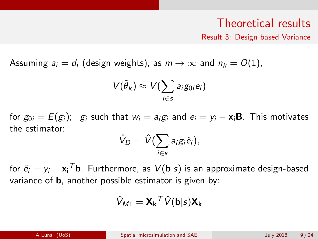#### Theoretical results

Result 3: Design based Variance

Assuming  $a_i = d_i$  (design weights), as  $m \to \infty$  and  $n_k = O(1)$ ,

$$
V(\tilde{\theta}_k) \approx V(\sum_{i \in s} a_i g_{0i} e_i)
$$

for  $g_{0i} = E(g_i)$ ;  $g_i$  such that  $w_i = a_i g_i$  and  $e_i = y_i - x_i B$ . This motivates the estimator:

$$
\hat{V}_D = \hat{V}(\sum_{i \in s} a_i g_i \hat{e}_i),
$$

for  $\hat{e}_i = y_i - \mathbf{x_i}^{\mathsf{T}}$ b. Furthermore, as  $V(\mathbf{b}\vert s)$  is an approximate design-based variance of b, another possible estimator is given by:

$$
\hat{V}_{M1} = \mathbf{X_k}^T \hat{V}(\mathbf{b}|\mathbf{s}) \mathbf{X_k}
$$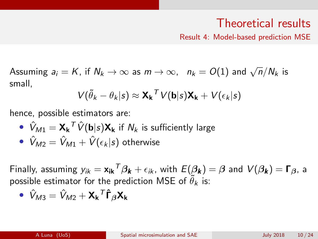## Theoretical results

Result 4: Model-based prediction MSE

Assuming  $a_i = K$ , if  $N_k \to \infty$  as  $m \to \infty$ ,  $n_k = O(1)$  and  $\sqrt{n}/N_k$  is small,

$$
V(\tilde{\theta}_k - \theta_k | s) \approx \mathbf{X_k}^T V(\mathbf{b}|s) \mathbf{X_k} + V(\epsilon_k | s)
$$

hence, possible estimators are:

• 
$$
\hat{V}_{M1} = \mathbf{X_k}^T \hat{V}(\mathbf{b}|s) \mathbf{X_k}
$$
 if  $N_k$  is sufficiently large

• 
$$
\hat{V}_{M2} = \hat{V}_{M1} + \hat{V}(\epsilon_k|s)
$$
 otherwise

Finally, assuming  $y_{ik} = \mathsf{x_{ik}}^{\mathsf{T}}\beta_{\pmb{k}} + \epsilon_{ik}$ , with  $E(\beta_{\pmb{k}}) = \beta$  and  $V(\beta_{\pmb{k}}) = \mathsf{\Gamma}_\beta$ , a possible estimator for the prediction MSE of  $\widetilde{\theta}_k$  is:

$$
\bullet \ \hat{V}_{M3} = \hat{V}_{M2} + \mathbf{X_k}^T \hat{\mathbf{\Gamma}}_{\beta} \mathbf{X_k}
$$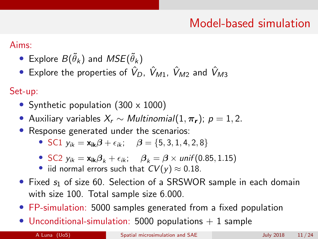# Model-based simulation

Aims:

- $\bullet\,$  Explore  $B(\tilde{\theta}_k)$  and  $MSE(\tilde{\theta}_k)$
- Explore the properties of  $\hat{V}_D$ ,  $\hat{V}_{M1}$ ,  $\hat{V}_{M2}$  and  $\hat{V}_{M3}$

Set-up:

- Synthetic population (300 x 1000)
- Auxiliary variables  $X_r \sim Multinomial(1, \pi_r); p = 1, 2$ .
- Response generated under the scenarios:
	- SC1  $y_{ik} = x_{ik}\beta + \epsilon_{ik}; \quad \beta = \{5, 3, 1, 4, 2, 8\}$
	- SC2  $y_{ik} = x_{ik}\beta_k + \epsilon_{ik}$ ;  $\beta_k = \beta \times \text{unif}(0.85, 1.15)$
	- iid normal errors such that  $CV(y) \approx 0.18$ .
- Fixed  $s_1$  of size 60. Selection of a SRSWOR sample in each domain with size 100. Total sample size 6.000.
- FP-simulation: 5000 samples generated from a fixed population
- Unconditional-simulation: 5000 populations  $+$  1 sample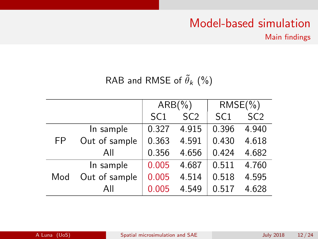# Model-based simulation

Main findings

### RAB and RMSE of  $\tilde{\theta}_k$  (%)

|     |               |                 | $ARB(\% )$      | $RMSE(\% )$     |                 |
|-----|---------------|-----------------|-----------------|-----------------|-----------------|
|     |               | SC <sub>1</sub> | SC <sub>2</sub> | SC <sub>1</sub> | SC <sub>2</sub> |
|     | In sample     | 0.327           | 4.915           | 0.396           | 4.940           |
| FP  | Out of sample | 0.363           | 4.591           | 0.430           | 4.618           |
|     | All           | 0.356           | 4.656           | 0.424           | 4.682           |
|     | In sample     | 0.005           | 4.687           | 0.511           | 4.760           |
| Mod | Out of sample | 0.005           | 4.514           | 0.518           | 4.595           |
|     | All           | 0.005           | 4.549           | 0.517           | 4.628           |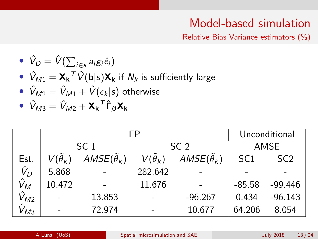# Model-based simulation

Relative Bias Variance estimators (%)

\n- \n
$$
\hat{V}_D = \hat{V}(\sum_{i \in s} a_i g_i \hat{e}_i)
$$
\n
\n- \n $\hat{V}_{M1} = \mathbf{X_k}^T \hat{V}(\mathbf{b} | s) \mathbf{X_k}$  if  $N_k$  is sufficiently large\n
\n- \n $\hat{V}_{M2} = \hat{V}_{M1} + \hat{V}(\epsilon_k | s)$  otherwise\n
\n- \n $\hat{V}_{M3} = \hat{V}_{M2} + \mathbf{X_k}^T \hat{\mathbf{f}}_{\beta} \mathbf{X_k}$ \n
\n

|                |                       | FP                       | Unconditional         |                          |                 |                 |
|----------------|-----------------------|--------------------------|-----------------------|--------------------------|-----------------|-----------------|
|                |                       | SC <sub>1</sub>          | SC <sub>2</sub>       |                          | AMSE            |                 |
| Est.           | $V(\tilde{\theta}_k)$ | $AMSE(\tilde{\theta}_k)$ | $V(\tilde{\theta}_k)$ | $AMSE(\tilde{\theta}_k)$ | SC <sub>1</sub> | SC <sub>2</sub> |
| $\hat{V}_D$    | 5.868                 |                          | 282.642               |                          |                 |                 |
| $\hat{V}_{M1}$ | 10.472                |                          |                       |                          | $-85.58$        | $-99.446$       |
| $\hat{V}_{M2}$ |                       | 13.853                   |                       | $-96.267$                | 0.434           | $-96.143$       |
| $\hat{V}_{M3}$ |                       | 72.974                   |                       | 10.677                   | 64.206          | 8.054           |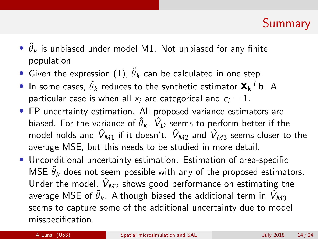# Summary

- $\bullet$   $\tilde{\theta}_k$  is unbiased under model M1. Not unbiased for any finite population
- $\bullet\,$  Given the expression  $(1),\,\tilde{\theta}_k$  $(1),\,\tilde{\theta}_k$  can be calculated in one step.
- $\bullet$  In some cases,  $\widetilde{\theta}_k$  reduces to the synthetic estimator  $\mathbf{X_k}^T \mathbf{b}$ . A particular case is when all  $x_i$  are categorical and  $c_i = 1$ .
- FP uncertainty estimation. All proposed variance estimators are biased. For the variance of  $\widetilde{\theta}_k$ ,  $\hat{V}_D$  seems to perform better if the model holds and  $\hat{V}_{M1}$  if it doesn't.  $\hat{V}_{M2}$  and  $\hat{V}_{M3}$  seems closer to the average MSE, but this needs to be studied in more detail.
- Unconditional uncertainty estimation. Estimation of area-specific MSE  $\tilde{\theta}_k$  does not seem possible with any of the proposed estimators. Under the model,  $V_{M2}$  shows good performance on estimating the average MSE of  $\tilde{\theta}_\mathsf{K}$ . Although biased the additional term in  $\hat{V}_{M3}$ seems to capture some of the additional uncertainty due to model misspecification.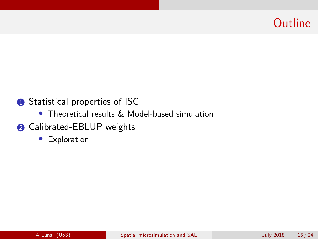# **Outline**

#### **1** Statistical properties of ISC

- Theoretical results & Model-based simulation
- **2** Calibrated-EBLUP weights
	- Exploration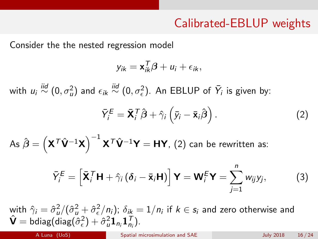# Calibrated-EBLUP weights

Consider the the nested regression model

$$
y_{ik} = \mathbf{x}_{ik}^T \boldsymbol{\beta} + u_i + \epsilon_{ik},
$$

with  $u_i \stackrel{iid}{\sim} (0,\sigma^2_u)$  and  $\epsilon_{ik} \stackrel{iid}{\sim} (0,\sigma^2_e)$ . An EBLUP of  $\bar{Y}_i$  is given by:

<span id="page-15-0"></span>
$$
\bar{Y}_{i}^{E} = \bar{\mathbf{X}}_{i}^{T} \hat{\boldsymbol{\beta}} + \hat{\gamma}_{i} \left( \bar{y}_{i} - \bar{\mathbf{x}}_{i} \hat{\boldsymbol{\beta}} \right).
$$
 (2)

As  $\hat{\boldsymbol{\beta}}=\left(\mathsf{X}^{\mathcal{T}}\hat{\mathsf{V}}^{-1}\mathsf{X}\right)^{-1}\mathsf{X}^{\mathcal{T}}\hat{\mathsf{V}}^{-1}\mathsf{Y}=\mathsf{H}\mathsf{Y}$ , [\(2\)](#page-15-0) can be rewritten as:

$$
\bar{Y}_{i}^{E} = \left[ \bar{\mathbf{X}}_{i}^{T} \mathbf{H} + \hat{\gamma}_{i} \left( \delta_{i} - \bar{\mathbf{x}}_{i} \mathbf{H} \right) \right] \mathbf{Y} = \mathbf{W}_{i}^{E} \mathbf{Y} = \sum_{j=1}^{n} w_{ij} y_{j}, \tag{3}
$$

with  $\hat{\gamma}_i=\hat{\sigma}_u^2/(\hat{\sigma}_u^2+\hat{\sigma}_\epsilon^2/n_i);~\delta_{ik}=1/n_i$  if  $k\in s_i$  and zero otherwise and  $\hat{\mathsf{V}} = \mathsf{bdiag}(\bar{\mathsf{diag}}(\hat{\sigma}^2_{\epsilon}) + \hat{\sigma}^2_{u}\mathbf{1}_{n_i}\mathbf{1}_{n_i}^{\mathsf{T}}).$ 

A Luna (UoS) [Spatial microsimulation and SAE](#page-0-0) July 2018 16 / 24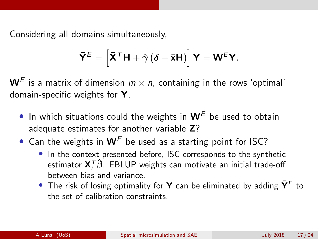Considering all domains simultaneously,

$$
\bar{\mathbf{Y}}^{\mathcal{E}} = \left[ \bar{\mathbf{X}}^{\mathcal{T}} \mathbf{H} + \hat{\gamma} (\delta - \bar{\mathbf{x}} \mathbf{H}) \right] \mathbf{Y} = \mathbf{W}^{\mathcal{E}} \mathbf{Y}.
$$

 $\mathsf{W}^E$  is a matrix of dimension  $m \times n$ , containing in the rows 'optimal' domain-specific weights for Y.

- In which situations could the weights in  $W^E$  be used to obtain adequate estimates for another variable Z?
- Can the weights in  $W^E$  be used as a starting point for ISC?
	- In the context presented before, ISC corresponds to the synthetic estimator  $\bar{\mathbf{X}}_i^{\mathcal{T}}\hat{\boldsymbol{\beta}}.$  EBLUP weights can motivate an initial trade-off between bias and variance.
	- The risk of losing optimality for **Y** can be eliminated by adding  $\bar{Y}^E$  to the set of calibration constraints.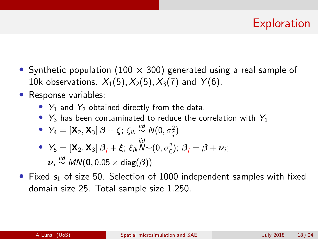# **Exploration**

- Synthetic population (100  $\times$  300) generated using a real sample of 10k observations.  $X_1(5)$ ,  $X_2(5)$ ,  $X_3(7)$  and  $Y(6)$ .
- Response variables:
	- $Y_1$  and  $Y_2$  obtained directly from the data.
	- $Y_3$  has been contaminated to reduce the correlation with  $Y_1$

• 
$$
Y_4 = [\mathbf{X}_2, \mathbf{X}_3] \boldsymbol{\beta} + \boldsymbol{\zeta}; \zeta_{ik} \stackrel{\text{iid}}{\sim} N(0, \sigma_{\zeta}^2)
$$

• 
$$
Y_5 = [\mathbf{X}_2, \mathbf{X}_3] \beta_i + \xi
$$
;  $\xi_{ik} \widetilde{N} \sim (0, \sigma_{\xi}^2)$ ;  $\beta_i = \beta + \nu_i$ ;  
\n $\nu_i \stackrel{iid}{\sim} MN(\mathbf{0}, 0.05 \times \text{diag}(\beta))$ 

• Fixed  $s_1$  of size 50. Selection of 1000 independent samples with fixed domain size 25. Total sample size 1.250.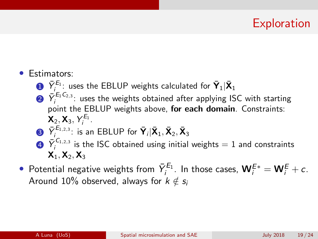# **Exploration**

- Estimators:
	- $\bar{\mathbf{D}}$   $\bar{Y}_{i}^{E_1}$ : uses the EBLUP weights calculated for  $\bar{\mathbf{Y}}_1 | \bar{\mathbf{X}}_1$
	- $2\,$   $\bar{Y}_i^{E_1C_{2,3}}$ : uses the weights obtained after applying ISC with starting point the EBLUP weights above, for each domain. Constraints:  $\mathsf{X}_2, \mathsf{X}_3, Y_i^{E_1}.$
	- $\bar{\mathbf{3}}$   $\bar{Y}_{i}^{E_{1,2,3}}$ : is an EBLUP for  $\bar{\mathbf{Y}}_i | \bar{\mathbf{X}}_1, \bar{\mathbf{X}}_2, \bar{\mathbf{X}}_3$
	- $\bar{\bm{\Psi}}$   $\bar{Y}_i^{C_{1,2,3}}$  is the ISC obtained using initial weights  $=1$  and constraints  $X_1, X_2, X_3$
- $\bullet$  Potential negative weights from  $\bar{Y}^{E_1}_{i}$ . In those cases,  $\mathbf{W}^{E*}_{i} = \mathbf{W}^{E}_{i} + c$ . Around 10% observed, always for  $k \notin s_i$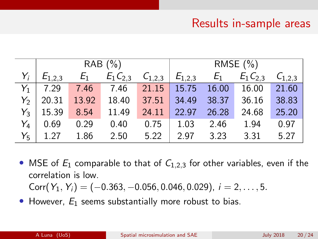## Results in-sample areas

| RAB (%)       |       |                                             |                         | RMSE $(\% )$ |               |                         |       |
|---------------|-------|---------------------------------------------|-------------------------|--------------|---------------|-------------------------|-------|
| $E_{1,2,3}$   | $E_1$ | $E_1 C_{2,3}$ $C_{1,2,3}$ $E_{1,2,3}$ $E_1$ |                         |              |               | $E_1 C_{2,3} C_{1,2,3}$ |       |
| $Y_1$   7.29  |       | 7.46 7.46                                   | 21.15 15.75 16.00 16.00 |              |               |                         | 21.60 |
| $Y_2$   20.31 | 13.92 | 18.40                                       | 37.51                   |              | 34.49 38.37   | 36.16                   | 38.83 |
| $Y_3$   15.39 | 8.54  | 11.49                                       | 24.11                   | 22.97        | 26.28         | 24.68                   | 25.20 |
| $Y_4$ 0.69    | 0.29  | 0.40                                        | $0.75$                  | 1.03 2.46    |               | 1.94                    | 0.97  |
| $Y_5$   1.27  | 1.86  | 2.50                                        | 5.22                    |              | $2.97$ $3.23$ | 3.31                    | 5.27  |

- MSE of  $E_1$  comparable to that of  $C_{1,2,3}$  for other variables, even if the correlation is low. Corr $(Y_1, Y_i) = (-0.363, -0.056, 0.046, 0.029), i = 2, \ldots, 5.$
- However,  $E_1$  seems substantially more robust to bias.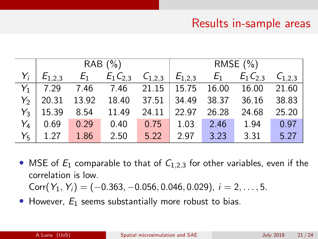## Results in-sample areas

| RAB (%)       |                 |                                                 |                   | RMSE (%) |               |                                                                                         |         |
|---------------|-----------------|-------------------------------------------------|-------------------|----------|---------------|-----------------------------------------------------------------------------------------|---------|
|               |                 |                                                 |                   |          |               | $E_{1,2,3}$ $E_1$ $E_1 C_{2,3}$ $C_{1,2,3}$ $E_{1,2,3}$ $E_1$ $E_1 C_{2,3}$ $C_{1,2,3}$ |         |
|               |                 | $Y_1$ 7.29 7.46 7.46 21.15 15.75 16.00 16.00    |                   |          |               |                                                                                         | 21.60   |
|               |                 | $Y_2$ 20.31 13.92 18.40 37.51 34.49 38.37 36.16 |                   |          |               |                                                                                         | 38.83   |
| $Y_3$   15.39 | 8.54 11.49      |                                                 | 24.11 22.97 26.28 |          |               | 24.68                                                                                   | 25.20   |
| $Y_4$ 0.69    |                 | $0.29$ 0.40 0.75                                |                   |          | $1.03$ 2.46   | 1.94                                                                                    | 0.97    |
|               | $Y_5$ 1.27 1.86 | 2.50                                            | 5.22              |          | $2.97$ $3.23$ | 3.31                                                                                    | $-5.27$ |

- MSE of  $E_1$  comparable to that of  $C_{1,2,3}$  for other variables, even if the correlation is low. Corr $(Y_1, Y_i) = (-0.363, -0.056, 0.046, 0.029), i = 2, \ldots, 5.$
- However,  $E_1$  seems substantially more robust to bias.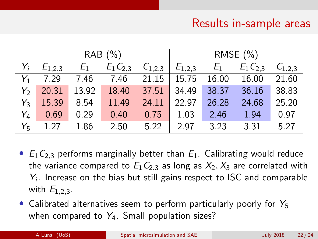# Results in-sample areas

|                | RAB(%)      |       |               |             | RMSE $(\% )$      |       |               |             |
|----------------|-------------|-------|---------------|-------------|-------------------|-------|---------------|-------------|
|                | $E_{1,2,3}$ | $E_1$ | $E_1 C_{2,3}$ | $C_{1,2,3}$ | $E_{1,2,3}$ $E_1$ |       | $E_1 C_{2,3}$ | $C_{1,2,3}$ |
| $Y_1$          | 7.29        | 7.46  | 7.46          | 21.15       | 15.75             | 16.00 | 16.00         | 21.60       |
| $Y_2$          | 20.31       | 13.92 | 18.40         | 37.51       | 34.49             | 38.37 | 36.16         | 38.83       |
| $Y_{3}$        | 15.39       | 8.54  | 11.49         | 24.11       | 22.97             | 26.28 | 24.68         | 25.20       |
| Y4             | 0.69        | 0.29  | 0.40          | 0.75        | 1.03              | 2.46  | 1.94          | 0.97        |
| Y <sub>5</sub> | 1.27        | 1.86  | 2.50          | 5.22        | 2.97              | 3.23  | 3.31          | 5.27        |

- $E_1C_{2,3}$  performs marginally better than  $E_1$ . Calibrating would reduce the variance compared to  $E_1C_{2,3}$  as long as  $X_2, X_3$  are correlated with  $Y_i$ . Increase on the bias but still gains respect to ISC and comparable with  $E_1$  23.
- Calibrated alternatives seem to perform particularly poorly for  $Y_5$ when compared to  $Y_4$ . Small population sizes?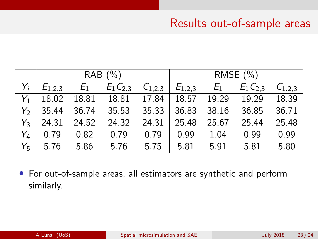#### Results out-of-sample areas

|       | RAB (%) |  |                                              |  |  | RMSE (%)                                                                                |      |
|-------|---------|--|----------------------------------------------|--|--|-----------------------------------------------------------------------------------------|------|
| $Y_i$ |         |  |                                              |  |  | $E_{1,2,3}$ $E_1$ $E_1 C_{2,3}$ $C_{1,2,3}$ $E_{1,2,3}$ $E_1$ $E_1 C_{2,3}$ $C_{1,2,3}$ |      |
|       |         |  |                                              |  |  | $Y_1$   18.02 18.81 18.81 17.84   18.57 19.29 19.29 18.39                               |      |
|       |         |  |                                              |  |  | $Y_2$ 35.44 36.74 35.53 35.33 36.83 38.16 36.85 36.71                                   |      |
|       |         |  |                                              |  |  | $Y_3$   24.31 24.52 24.32 24.31   25.48 25.67 25.44 25.48                               |      |
|       |         |  | $Y_4$   0.79 0.82 0.79 0.79   0.99 1.04 0.99 |  |  |                                                                                         | 0.99 |
|       |         |  |                                              |  |  | $Y_5$ 5.76 5.86 5.76 5.75 5.81 5.91 5.81 5.80                                           |      |

• For out-of-sample areas, all estimators are synthetic and perform similarly.